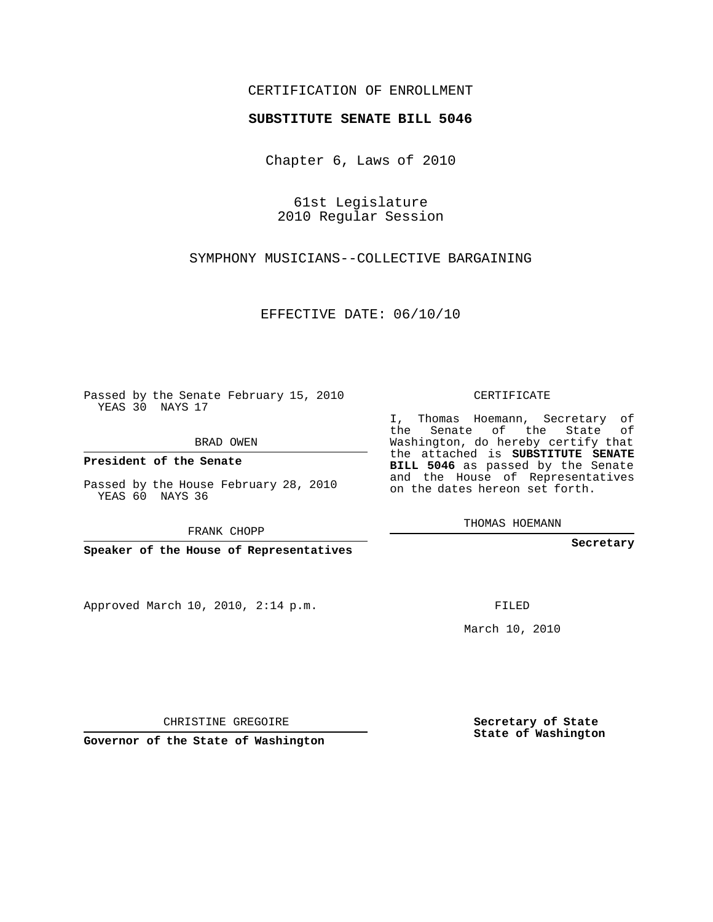## CERTIFICATION OF ENROLLMENT

## **SUBSTITUTE SENATE BILL 5046**

Chapter 6, Laws of 2010

61st Legislature 2010 Regular Session

SYMPHONY MUSICIANS--COLLECTIVE BARGAINING

EFFECTIVE DATE: 06/10/10

Passed by the Senate February 15, 2010 YEAS 30 NAYS 17

BRAD OWEN

**President of the Senate**

Passed by the House February 28, 2010 YEAS 60 NAYS 36

FRANK CHOPP

**Speaker of the House of Representatives**

Approved March 10, 2010, 2:14 p.m.

CERTIFICATE

I, Thomas Hoemann, Secretary of the Senate of the State of Washington, do hereby certify that the attached is **SUBSTITUTE SENATE BILL 5046** as passed by the Senate and the House of Representatives on the dates hereon set forth.

THOMAS HOEMANN

**Secretary**

FILED

March 10, 2010

**Secretary of State State of Washington**

CHRISTINE GREGOIRE

**Governor of the State of Washington**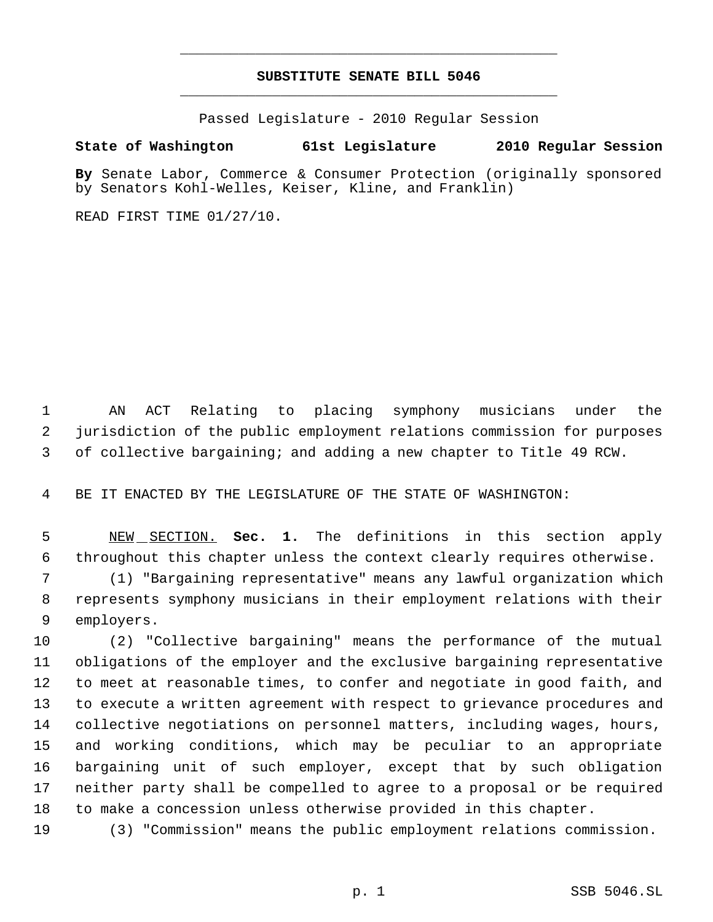## **SUBSTITUTE SENATE BILL 5046** \_\_\_\_\_\_\_\_\_\_\_\_\_\_\_\_\_\_\_\_\_\_\_\_\_\_\_\_\_\_\_\_\_\_\_\_\_\_\_\_\_\_\_\_\_

\_\_\_\_\_\_\_\_\_\_\_\_\_\_\_\_\_\_\_\_\_\_\_\_\_\_\_\_\_\_\_\_\_\_\_\_\_\_\_\_\_\_\_\_\_

Passed Legislature - 2010 Regular Session

## **State of Washington 61st Legislature 2010 Regular Session**

**By** Senate Labor, Commerce & Consumer Protection (originally sponsored by Senators Kohl-Welles, Keiser, Kline, and Franklin)

READ FIRST TIME 01/27/10.

 AN ACT Relating to placing symphony musicians under the jurisdiction of the public employment relations commission for purposes of collective bargaining; and adding a new chapter to Title 49 RCW.

BE IT ENACTED BY THE LEGISLATURE OF THE STATE OF WASHINGTON:

 NEW SECTION. **Sec. 1.** The definitions in this section apply throughout this chapter unless the context clearly requires otherwise.

 (1) "Bargaining representative" means any lawful organization which represents symphony musicians in their employment relations with their employers.

 (2) "Collective bargaining" means the performance of the mutual obligations of the employer and the exclusive bargaining representative to meet at reasonable times, to confer and negotiate in good faith, and to execute a written agreement with respect to grievance procedures and collective negotiations on personnel matters, including wages, hours, and working conditions, which may be peculiar to an appropriate bargaining unit of such employer, except that by such obligation neither party shall be compelled to agree to a proposal or be required to make a concession unless otherwise provided in this chapter.

(3) "Commission" means the public employment relations commission.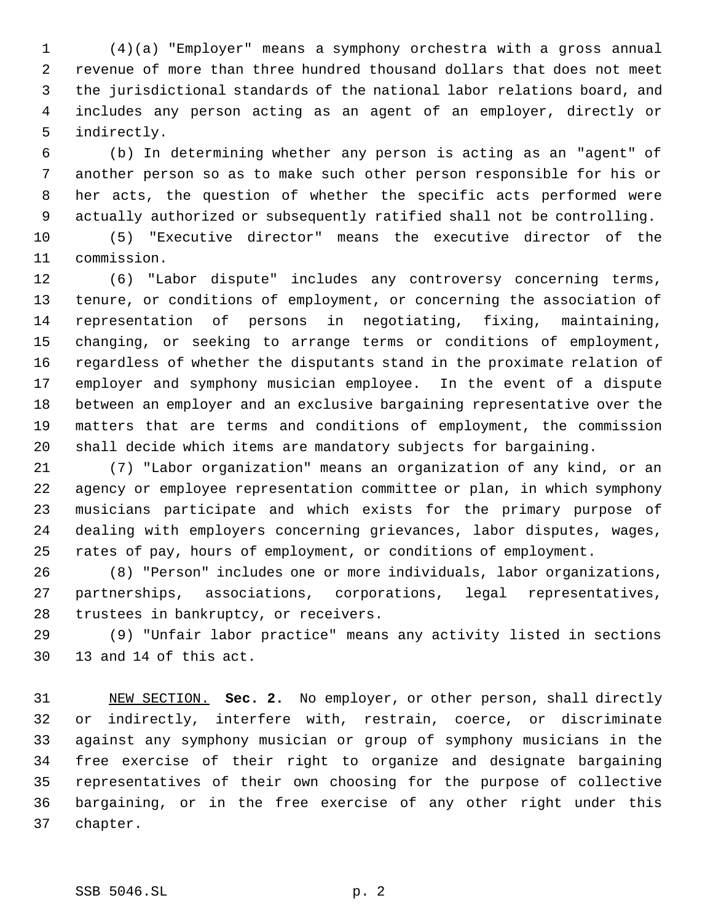(4)(a) "Employer" means a symphony orchestra with a gross annual revenue of more than three hundred thousand dollars that does not meet the jurisdictional standards of the national labor relations board, and includes any person acting as an agent of an employer, directly or indirectly.

 (b) In determining whether any person is acting as an "agent" of another person so as to make such other person responsible for his or her acts, the question of whether the specific acts performed were actually authorized or subsequently ratified shall not be controlling.

 (5) "Executive director" means the executive director of the commission.

 (6) "Labor dispute" includes any controversy concerning terms, tenure, or conditions of employment, or concerning the association of representation of persons in negotiating, fixing, maintaining, changing, or seeking to arrange terms or conditions of employment, regardless of whether the disputants stand in the proximate relation of employer and symphony musician employee. In the event of a dispute between an employer and an exclusive bargaining representative over the matters that are terms and conditions of employment, the commission shall decide which items are mandatory subjects for bargaining.

 (7) "Labor organization" means an organization of any kind, or an agency or employee representation committee or plan, in which symphony musicians participate and which exists for the primary purpose of dealing with employers concerning grievances, labor disputes, wages, rates of pay, hours of employment, or conditions of employment.

 (8) "Person" includes one or more individuals, labor organizations, partnerships, associations, corporations, legal representatives, trustees in bankruptcy, or receivers.

 (9) "Unfair labor practice" means any activity listed in sections 13 and 14 of this act.

 NEW SECTION. **Sec. 2.** No employer, or other person, shall directly or indirectly, interfere with, restrain, coerce, or discriminate against any symphony musician or group of symphony musicians in the free exercise of their right to organize and designate bargaining representatives of their own choosing for the purpose of collective bargaining, or in the free exercise of any other right under this chapter.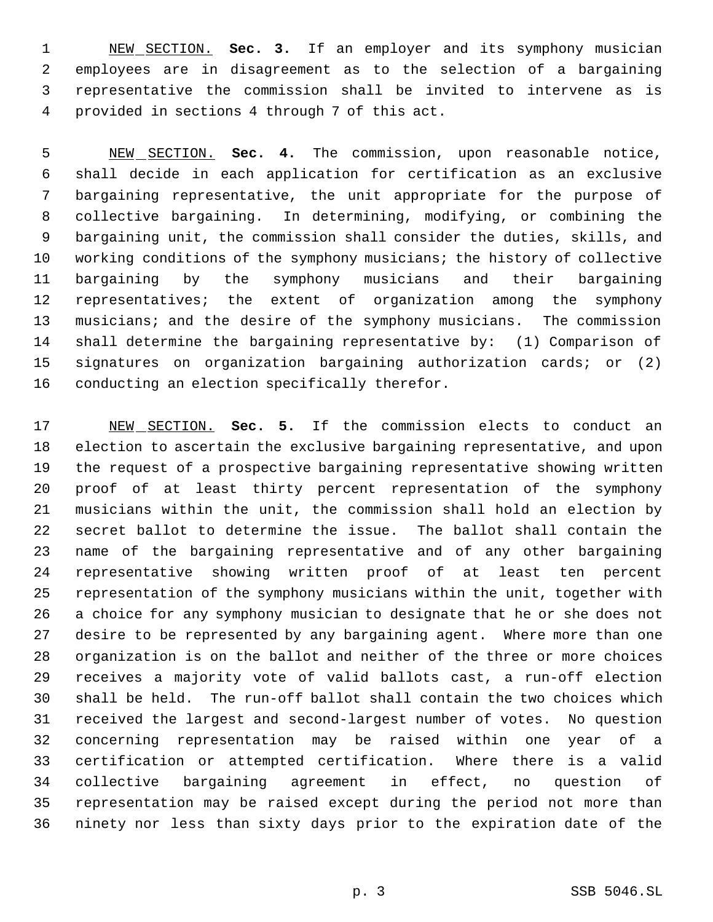NEW SECTION. **Sec. 3.** If an employer and its symphony musician employees are in disagreement as to the selection of a bargaining representative the commission shall be invited to intervene as is provided in sections 4 through 7 of this act.

 NEW SECTION. **Sec. 4.** The commission, upon reasonable notice, shall decide in each application for certification as an exclusive bargaining representative, the unit appropriate for the purpose of collective bargaining. In determining, modifying, or combining the bargaining unit, the commission shall consider the duties, skills, and working conditions of the symphony musicians; the history of collective bargaining by the symphony musicians and their bargaining representatives; the extent of organization among the symphony musicians; and the desire of the symphony musicians. The commission shall determine the bargaining representative by: (1) Comparison of signatures on organization bargaining authorization cards; or (2) conducting an election specifically therefor.

 NEW SECTION. **Sec. 5.** If the commission elects to conduct an election to ascertain the exclusive bargaining representative, and upon the request of a prospective bargaining representative showing written proof of at least thirty percent representation of the symphony musicians within the unit, the commission shall hold an election by secret ballot to determine the issue. The ballot shall contain the name of the bargaining representative and of any other bargaining representative showing written proof of at least ten percent representation of the symphony musicians within the unit, together with a choice for any symphony musician to designate that he or she does not desire to be represented by any bargaining agent. Where more than one organization is on the ballot and neither of the three or more choices receives a majority vote of valid ballots cast, a run-off election shall be held. The run-off ballot shall contain the two choices which received the largest and second-largest number of votes. No question concerning representation may be raised within one year of a certification or attempted certification. Where there is a valid collective bargaining agreement in effect, no question of representation may be raised except during the period not more than ninety nor less than sixty days prior to the expiration date of the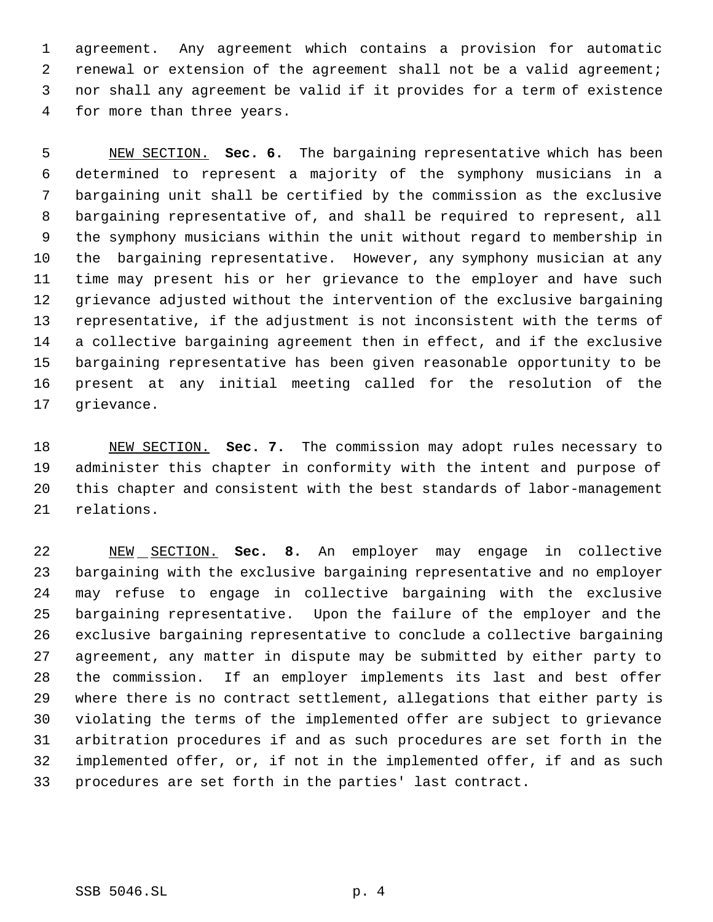agreement. Any agreement which contains a provision for automatic renewal or extension of the agreement shall not be a valid agreement; nor shall any agreement be valid if it provides for a term of existence for more than three years.

 NEW SECTION. **Sec. 6.** The bargaining representative which has been determined to represent a majority of the symphony musicians in a bargaining unit shall be certified by the commission as the exclusive bargaining representative of, and shall be required to represent, all the symphony musicians within the unit without regard to membership in the bargaining representative. However, any symphony musician at any time may present his or her grievance to the employer and have such grievance adjusted without the intervention of the exclusive bargaining representative, if the adjustment is not inconsistent with the terms of a collective bargaining agreement then in effect, and if the exclusive bargaining representative has been given reasonable opportunity to be present at any initial meeting called for the resolution of the grievance.

 NEW SECTION. **Sec. 7.** The commission may adopt rules necessary to administer this chapter in conformity with the intent and purpose of this chapter and consistent with the best standards of labor-management relations.

 NEW SECTION. **Sec. 8.** An employer may engage in collective bargaining with the exclusive bargaining representative and no employer may refuse to engage in collective bargaining with the exclusive bargaining representative. Upon the failure of the employer and the exclusive bargaining representative to conclude a collective bargaining agreement, any matter in dispute may be submitted by either party to the commission. If an employer implements its last and best offer where there is no contract settlement, allegations that either party is violating the terms of the implemented offer are subject to grievance arbitration procedures if and as such procedures are set forth in the implemented offer, or, if not in the implemented offer, if and as such procedures are set forth in the parties' last contract.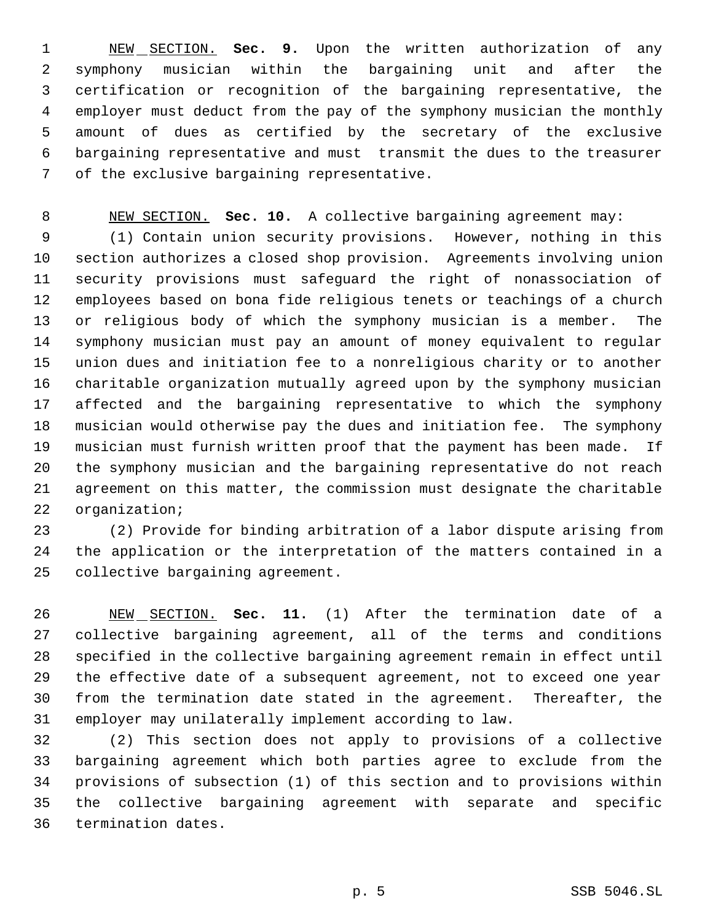NEW SECTION. **Sec. 9.** Upon the written authorization of any symphony musician within the bargaining unit and after the certification or recognition of the bargaining representative, the employer must deduct from the pay of the symphony musician the monthly amount of dues as certified by the secretary of the exclusive bargaining representative and must transmit the dues to the treasurer of the exclusive bargaining representative.

NEW SECTION. **Sec. 10.** A collective bargaining agreement may:

 (1) Contain union security provisions. However, nothing in this section authorizes a closed shop provision. Agreements involving union security provisions must safeguard the right of nonassociation of employees based on bona fide religious tenets or teachings of a church or religious body of which the symphony musician is a member. The symphony musician must pay an amount of money equivalent to regular union dues and initiation fee to a nonreligious charity or to another charitable organization mutually agreed upon by the symphony musician affected and the bargaining representative to which the symphony musician would otherwise pay the dues and initiation fee. The symphony musician must furnish written proof that the payment has been made. If the symphony musician and the bargaining representative do not reach agreement on this matter, the commission must designate the charitable organization;

 (2) Provide for binding arbitration of a labor dispute arising from the application or the interpretation of the matters contained in a collective bargaining agreement.

 NEW SECTION. **Sec. 11.** (1) After the termination date of a collective bargaining agreement, all of the terms and conditions specified in the collective bargaining agreement remain in effect until the effective date of a subsequent agreement, not to exceed one year from the termination date stated in the agreement. Thereafter, the employer may unilaterally implement according to law.

 (2) This section does not apply to provisions of a collective bargaining agreement which both parties agree to exclude from the provisions of subsection (1) of this section and to provisions within the collective bargaining agreement with separate and specific termination dates.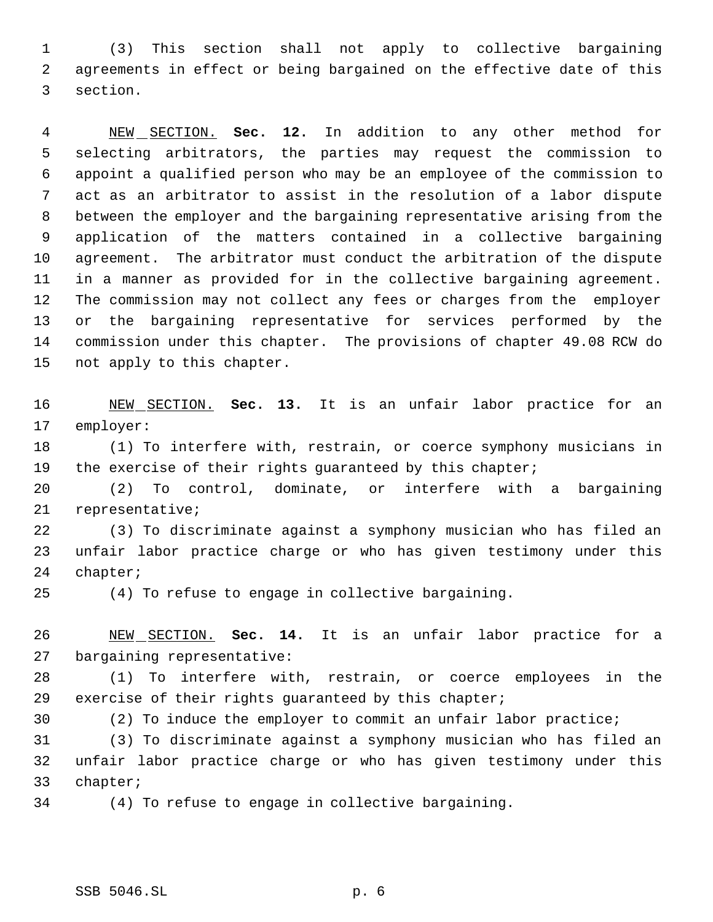(3) This section shall not apply to collective bargaining agreements in effect or being bargained on the effective date of this section.

 NEW SECTION. **Sec. 12.** In addition to any other method for selecting arbitrators, the parties may request the commission to appoint a qualified person who may be an employee of the commission to act as an arbitrator to assist in the resolution of a labor dispute between the employer and the bargaining representative arising from the application of the matters contained in a collective bargaining agreement. The arbitrator must conduct the arbitration of the dispute in a manner as provided for in the collective bargaining agreement. The commission may not collect any fees or charges from the employer or the bargaining representative for services performed by the commission under this chapter. The provisions of chapter 49.08 RCW do not apply to this chapter.

 NEW SECTION. **Sec. 13.** It is an unfair labor practice for an employer:

 (1) To interfere with, restrain, or coerce symphony musicians in the exercise of their rights guaranteed by this chapter;

 (2) To control, dominate, or interfere with a bargaining representative;

 (3) To discriminate against a symphony musician who has filed an unfair labor practice charge or who has given testimony under this chapter;

(4) To refuse to engage in collective bargaining.

 NEW SECTION. **Sec. 14.** It is an unfair labor practice for a bargaining representative:

 (1) To interfere with, restrain, or coerce employees in the exercise of their rights guaranteed by this chapter;

(2) To induce the employer to commit an unfair labor practice;

 (3) To discriminate against a symphony musician who has filed an unfair labor practice charge or who has given testimony under this chapter;

(4) To refuse to engage in collective bargaining.